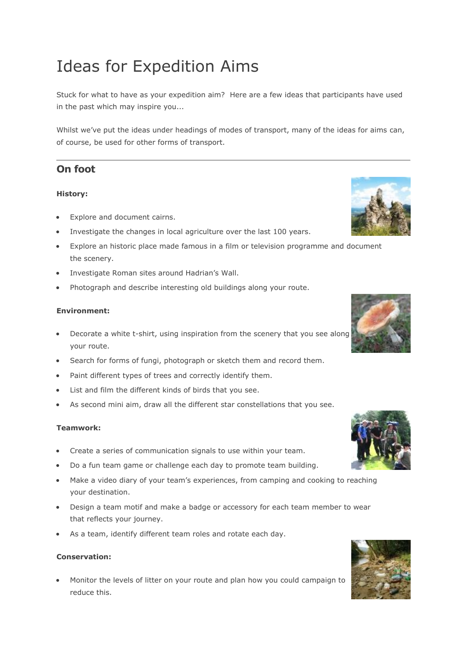# Ideas for Expedition Aims

Stuck for what to have as your expedition aim? Here are a few ideas that participants have used in the past which may inspire you...

Whilst we've put the ideas under headings of modes of transport, many of the ideas for aims can, of course, be used for other forms of transport.

# **On foot**

# **History:**

- Explore and document cairns.
- Investigate the changes in local agriculture over the last 100 years.
- Explore an historic place made famous in a film or television programme and document the scenery.
- Investigate Roman sites around Hadrian's Wall.
- Photograph and describe interesting old buildings along your route.

## **Environment:**

- Decorate a white t-shirt, using inspiration from the scenery that you see along your route.
- Search for forms of fungi, photograph or sketch them and record them.
- Paint different types of trees and correctly identify them.
- List and film the different kinds of birds that you see.
- As second mini aim, draw all the different star constellations that you see.

## **Teamwork:**

- Create a series of communication signals to use within your team.
- Do a fun team game or challenge each day to promote team building.
- Make a video diary of your team's experiences, from camping and cooking to reaching your destination.
- Design a team motif and make a badge or accessory for each team member to wear that reflects your journey.
- As a team, identify different team roles and rotate each day.

#### **Conservation:**

 Monitor the levels of litter on your route and plan how you could campaign to reduce this.